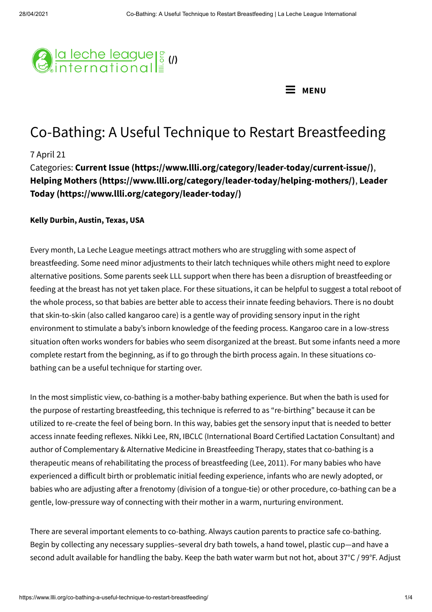



# Co-Bathing: A Useful Technique to Restart Breastfeeding

### 7 April 21

Categories: **Current Issue [\(https://www.llli.org/category/leader-today/current-issue/\)](https://www.llli.org/category/leader-today/current-issue/)**, **Helping Mothers [\(https://www.llli.org/category/leader-today/helping-mothers/\)](https://www.llli.org/category/leader-today/helping-mothers/)**, **Leader Today (https://www.llli.org/category/leader-today/)**

#### **Kelly Durbin, Austin, Texas, USA**

Every month, La Leche League meetings attract mothers who are struggling with some aspect of breastfeeding. Some need minor adjustments to their latch techniques while others might need to explore alternative positions. Some parents seek LLL support when there has been a disruption of breastfeeding or feeding at the breast has not yet taken place. For these situations, it can be helpful to suggest a total reboot of the whole process, so that babies are better able to access their innate feeding behaviors. There is no doubt that skin-to-skin (also called kangaroo care) is a gentle way of providing sensory input in the right environment to stimulate a baby's inborn knowledge of the feeding process. Kangaroo care in a low-stress situation often works wonders for babies who seem disorganized at the breast. But some infants need a more complete restart from the beginning, as if to go through the birth process again. In these situations cobathing can be a useful technique for starting over.

In the most simplistic view, co-bathing is a mother-baby bathing experience. But when the bath is used for the purpose of restarting breastfeeding, this technique is referred to as "re-birthing" because it can be utilized to re-create the feel of being born. In this way, babies get the sensory input that is needed to better access innate feeding reflexes. Nikki Lee, RN, IBCLC (International Board Certified Lactation Consultant) and author of Complementary & Alternative Medicine in Breastfeeding Therapy, states that co-bathing is a therapeutic means of rehabilitating the process of breastfeeding (Lee, 2011). For many babies who have experienced a difficult birth or problematic initial feeding experience, infants who are newly adopted, or babies who are adjusting after a frenotomy (division of a tongue-tie) or other procedure, co-bathing can be a gentle, low-pressure way of connecting with their mother in a warm, nurturing environment.

There are several important elements to co-bathing. Always caution parents to practice safe co-bathing. Begin by collecting any necessary supplies–several dry bath towels, a hand towel, plastic cup—and have a second adult available for handling the baby. Keep the bath water warm but not hot, about 37°C / 99°F. Adjust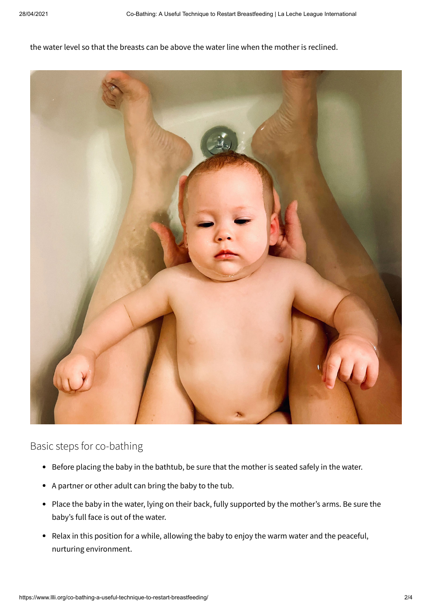the water level so that the breasts can be above the water line when the mother is reclined.



Basic steps for co-bathing

- Before placing the baby in the bathtub, be sure that the mother is seated safely in the water.
- A partner or other adult can bring the baby to the tub.
- Place the baby in the water, lying on their back, fully supported by the mother's arms. Be sure the baby's full face is out of the water.
- Relax in this position for a while, allowing the baby to enjoy the warm water and the peaceful, nurturing environment.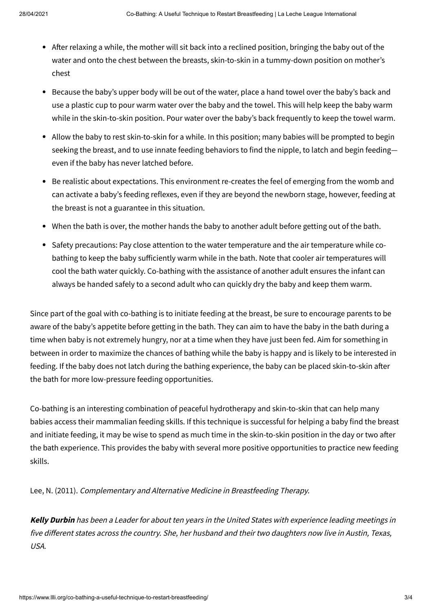- After relaxing a while, the mother will sit back into a reclined position, bringing the baby out of the water and onto the chest between the breasts, skin-to-skin in a tummy-down position on mother's chest
- Because the baby's upper body will be out of the water, place a hand towel over the baby's back and use a plastic cup to pour warm water over the baby and the towel. This will help keep the baby warm while in the skin-to-skin position. Pour water over the baby's back frequently to keep the towel warm.
- Allow the baby to rest skin-to-skin for a while. In this position; many babies will be prompted to begin seeking the breast, and to use innate feeding behaviors to find the nipple, to latch and begin feeding even if the baby has never latched before.
- Be realistic about expectations. This environment re-creates the feel of emerging from the womb and can activate a baby's feeding reflexes, even if they are beyond the newborn stage, however, feeding at the breast is not a guarantee in this situation.
- When the bath is over, the mother hands the baby to another adult before getting out of the bath.
- Safety precautions: Pay close attention to the water temperature and the air temperature while cobathing to keep the baby sufficiently warm while in the bath. Note that cooler air temperatures will cool the bath water quickly. Co-bathing with the assistance of another adult ensures the infant can always be handed safely to a second adult who can quickly dry the baby and keep them warm.

Since part of the goal with co-bathing is to initiate feeding at the breast, be sure to encourage parents to be aware of the baby's appetite before getting in the bath. They can aim to have the baby in the bath during a time when baby is not extremely hungry, nor at a time when they have just been fed. Aim for something in between in order to maximize the chances of bathing while the baby is happy and is likely to be interested in feeding. If the baby does not latch during the bathing experience, the baby can be placed skin-to-skin after the bath for more low-pressure feeding opportunities.

Co-bathing is an interesting combination of peaceful hydrotherapy and skin-to-skin that can help many babies access their mammalian feeding skills. If this technique is successful for helping a baby find the breast and initiate feeding, it may be wise to spend as much time in the skin-to-skin position in the day or two after the bath experience. This provides the baby with several more positive opportunities to practice new feeding skills.

Lee, N. (2011). Complementary and Alternative Medicine in Breastfeeding Therapy.

**Kelly Durbin** has been a Leader for about ten years in the United States with experience leading meetings in five different states across the country. She, her husband and their two daughters now live in Austin, Texas, USA.